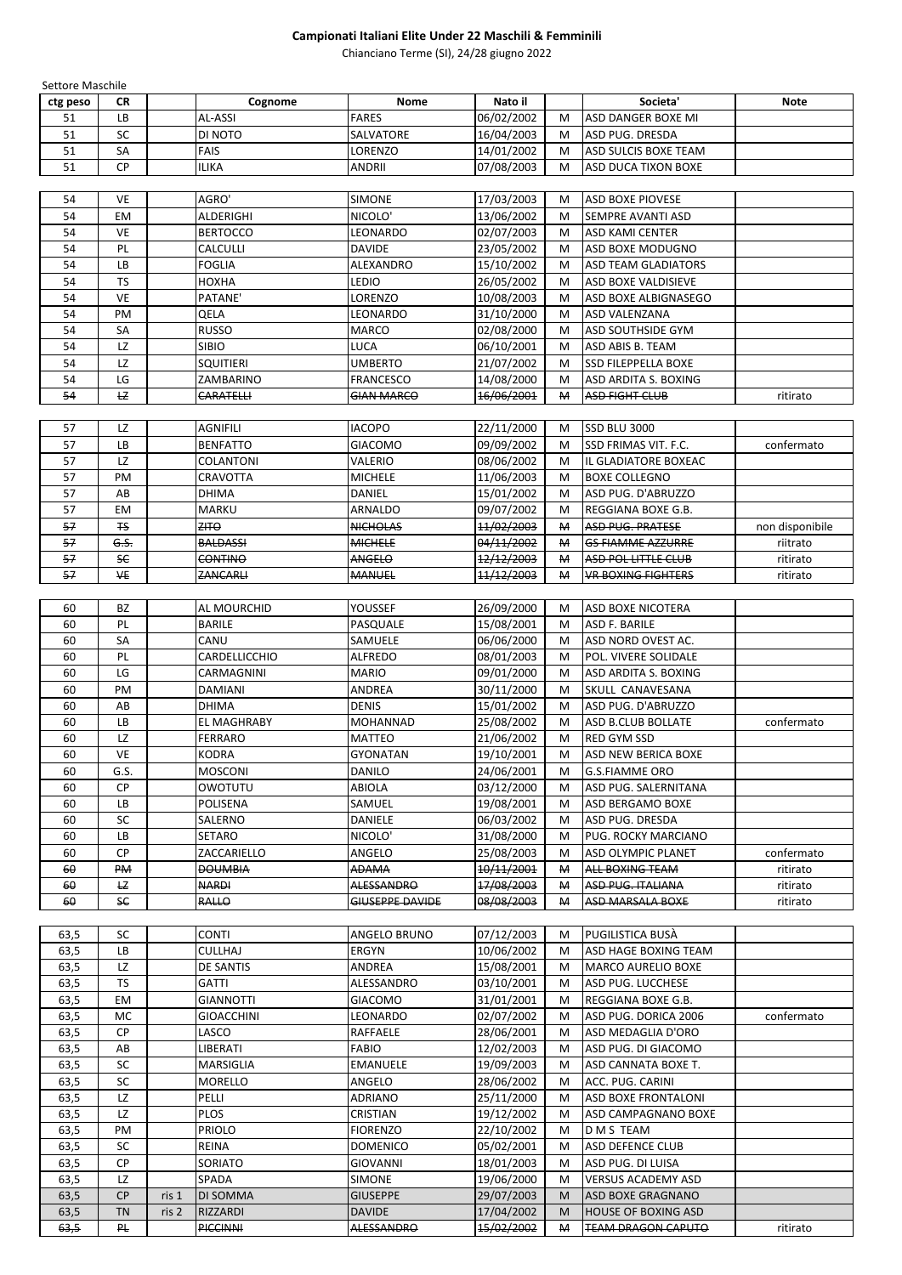| <b>Settore Maschile</b> |                |                    |                        |            |              |                             |                 |
|-------------------------|----------------|--------------------|------------------------|------------|--------------|-----------------------------|-----------------|
| ctg peso                | <b>CR</b>      | Cognome            | <b>Nome</b>            | Nato il    |              | Societa'                    | <b>Note</b>     |
| 51                      | <b>LB</b>      | <b>AL-ASSI</b>     | <b>FARES</b>           | 06/02/2002 | M            | <b>ASD DANGER BOXE MI</b>   |                 |
| 51                      | SC             | DI NOTO            | SALVATORE              | 16/04/2003 | M            | <b>ASD PUG. DRESDA</b>      |                 |
| 51                      | SA             | <b>FAIS</b>        | LORENZO                | 14/01/2002 | M            | <b>ASD SULCIS BOXE TEAM</b> |                 |
| 51                      | <b>CP</b>      | <b>ILIKA</b>       | <b>ANDRII</b>          | 07/08/2003 | M            | <b>ASD DUCA TIXON BOXE</b>  |                 |
|                         |                |                    |                        |            |              |                             |                 |
| 54                      | <b>VE</b>      | AGRO'              | <b>SIMONE</b>          | 17/03/2003 | M            | <b>ASD BOXE PIOVESE</b>     |                 |
| 54                      | <b>EM</b>      | ALDERIGHI          | NICOLO'                | 13/06/2002 | M            | <b>SEMPRE AVANTI ASD</b>    |                 |
| 54                      | <b>VE</b>      | <b>BERTOCCO</b>    | LEONARDO               | 02/07/2003 | M            | <b>ASD KAMI CENTER</b>      |                 |
| 54                      | PL.            | <b>CALCULLI</b>    | <b>DAVIDE</b>          | 23/05/2002 | M            | <b>ASD BOXE MODUGNO</b>     |                 |
| 54                      | <b>LB</b>      | <b>FOGLIA</b>      | ALEXANDRO              | 15/10/2002 | M            | <b>ASD TEAM GLADIATORS</b>  |                 |
| 54                      | <b>TS</b>      | <b>HOXHA</b>       | LEDIO                  | 26/05/2002 | M            | <b>ASD BOXE VALDISIEVE</b>  |                 |
| 54                      | <b>VE</b>      | PATANE'            | LORENZO                | 10/08/2003 | M            | ASD BOXE ALBIGNASEGO        |                 |
| 54                      | PM             | QELA               | LEONARDO               | 31/10/2000 | M            | <b>ASD VALENZANA</b>        |                 |
| 54                      | SA             | <b>RUSSO</b>       | <b>MARCO</b>           | 02/08/2000 | M            | <b>ASD SOUTHSIDE GYM</b>    |                 |
| 54                      | LZ             | <b>SIBIO</b>       | LUCA                   | 06/10/2001 | M            | <b>ASD ABIS B. TEAM</b>     |                 |
| 54                      | LZ             | <b>SQUITIERI</b>   | <b>UMBERTO</b>         | 21/07/2002 | M            | <b>SSD FILEPPELLA BOXE</b>  |                 |
| 54                      | LG             | ZAMBARINO          | <b>FRANCESCO</b>       | 14/08/2000 | M            | <b>ASD ARDITA S. BOXING</b> |                 |
| 54                      | E              | <b>CARATELLI</b>   | <b>GIAN MARCO</b>      | 16/06/2001 | М            | <b>ASD FIGHT CLUB</b>       | ritirato        |
|                         |                |                    |                        |            |              |                             |                 |
| 57                      | LZ             | <b>AGNIFILI</b>    | <b>IACOPO</b>          | 22/11/2000 | M            | <b>SSD BLU 3000</b>         |                 |
| 57                      | LB             | <b>BENFATTO</b>    | <b>GIACOMO</b>         | 09/09/2002 | M            | <b>SSD FRIMAS VIT. F.C.</b> | confermato      |
| 57                      | LZ             | <b>COLANTONI</b>   | VALERIO                | 08/06/2002 | M            | IL GLADIATORE BOXEAC        |                 |
| 57                      | PM             | CRAVOTTA           | <b>MICHELE</b>         | 11/06/2003 | M            | <b>BOXE COLLEGNO</b>        |                 |
| 57                      | AB             | <b>DHIMA</b>       | <b>DANIEL</b>          | 15/01/2002 | M            | ASD PUG. D'ABRUZZO          |                 |
| 57                      | EM             | <b>MARKU</b>       | ARNALDO                | 09/07/2002 | M            | REGGIANA BOXE G.B.          |                 |
| 57                      | F <sub>S</sub> | $2H + 9$           | <b>NICHOLAS</b>        | 11/02/2003 | М            | <b>ASD PUG. PRATESE</b>     | non disponibile |
| 57                      | G.S.           | <b>BALDASSI</b>    | <b>MICHELE</b>         | 04/11/2002 | М            | <b>GS FIAMME AZZURRE</b>    | riitrato        |
| 57                      | <b>SE</b>      | <b>CONTINO</b>     | ANGELO                 | 12/12/2003 | $\mathsf{M}$ | ASD POL LITTLE CLUB         | ritirato        |
| 57                      | ₩E             | ZANCARH            | <b>MANUEL</b>          | 11/12/2003 | ₩            | <b>VR BOXING FIGHTERS</b>   | ritirato        |
|                         |                |                    |                        |            |              |                             |                 |
| 60                      | <b>BZ</b>      | AL MOURCHID        | <b>YOUSSEF</b>         | 26/09/2000 | M            | <b>ASD BOXE NICOTERA</b>    |                 |
| 60                      | PL.            | <b>BARILE</b>      | PASQUALE               | 15/08/2001 | M            | <b>ASD F. BARILE</b>        |                 |
| 60                      | SA             | CANU               | SAMUELE                | 06/06/2000 | M            | ASD NORD OVEST AC.          |                 |
| 60                      | PL.            | CARDELLICCHIO      | <b>ALFREDO</b>         | 08/01/2003 | M            | POL. VIVERE SOLIDALE        |                 |
| 60                      | LG             | CARMAGNINI         | <b>MARIO</b>           | 09/01/2000 | M            | <b>ASD ARDITA S. BOXING</b> |                 |
| 60                      | PM             | <b>DAMIANI</b>     | <b>ANDREA</b>          | 30/11/2000 | M            | SKULL CANAVESANA            |                 |
| 60                      | AB             | <b>DHIMA</b>       | <b>DENIS</b>           | 15/01/2002 | M            | ASD PUG. D'ABRUZZO          |                 |
| 60                      | <b>LB</b>      | <b>EL MAGHRABY</b> | <b>MOHANNAD</b>        | 25/08/2002 | M            | <b>ASD B.CLUB BOLLATE</b>   | confermato      |
| 60                      | LZ             | <b>FERRARO</b>     | <b>MATTEO</b>          | 21/06/2002 | M            | <b>RED GYM SSD</b>          |                 |
| 60                      | <b>VE</b>      | <b>KODRA</b>       | <b>GYONATAN</b>        | 19/10/2001 | M            | <b>ASD NEW BERICA BOXE</b>  |                 |
|                         |                |                    |                        |            |              |                             |                 |
| 60                      | G.S.<br>CP     | <b>MOSCONI</b>     | <b>DANILO</b>          | 24/06/2001 | M            | <b>G.S.FIAMME ORO</b>       |                 |
| 60                      |                | OWOTUTU            | <b>ABIOLA</b>          | 03/12/2000 | M            | <b>ASD PUG. SALERNITANA</b> |                 |
| 60                      | LB             | <b>POLISENA</b>    | SAMUEL                 | 19/08/2001 | M            | <b>ASD BERGAMO BOXE</b>     |                 |
| 60                      | <b>SC</b>      | <b>SALERNO</b>     | <b>DANIELE</b>         | 06/03/2002 | M            | <b>ASD PUG. DRESDA</b>      |                 |
| 60                      | LB             | <b>SETARO</b>      | NICOLO'                | 31/08/2000 | M            | <b>PUG. ROCKY MARCIANO</b>  |                 |
| 60                      | CP             | ZACCARIELLO        | ANGELO                 | 25/08/2003 | M            | <b>ASD OLYMPIC PLANET</b>   | confermato      |
| 60                      | <b>PM</b>      | <b>DOUMBIA</b>     | <b>ADAMA</b>           | 10/11/2001 | $\mathsf{M}$ | <b>ALL BOXING TEAM</b>      | ritirato        |
| 60                      | <b>LZ</b>      | <b>NARDI</b>       | <b>ALESSANDRO</b>      | 17/08/2003 | М            | ASD PUG. ITALIANA           | ritirato        |
| 60                      | <b>SE</b>      | <b>RALLO</b>       | <b>GIUSEPPE DAVIDE</b> | 08/08/2003 | М            | <b>ASD MARSALA BOXE</b>     | ritirato        |
|                         |                |                    |                        |            |              |                             |                 |

| --<br>10/06/2002<br><b>ERGYN</b><br><b>BOXING TEAM</b><br><b>CULLHAJ</b><br>M<br>) HAGE<br><b>ASD</b><br>D<br>03,J<br>∟D. | --<br>03,J | ~~<br>JU | <b>CONTI</b> | <b>ANGELO BRUNO</b> | 07/12/2003 | M | <b>PUGILISTICA BUSÀ</b> |  |
|---------------------------------------------------------------------------------------------------------------------------|------------|----------|--------------|---------------------|------------|---|-------------------------|--|
|                                                                                                                           |            |          |              |                     |            |   |                         |  |

| 63,5 | LZ        |       | <b>DE SANTIS</b>  | ANDREA            | 15/08/2001 | M            | <b>MARCO AURELIO BOXE</b>  |            |
|------|-----------|-------|-------------------|-------------------|------------|--------------|----------------------------|------------|
| 63,5 | <b>TS</b> |       | <b>GATTI</b>      | ALESSANDRO        | 03/10/2001 | M            | IASD PUG. LUCCHESE         |            |
| 63,5 | <b>EM</b> |       | <b>GIANNOTTI</b>  | <b>GIACOMO</b>    | 31/01/2001 | M            | <b>REGGIANA BOXE G.B.</b>  |            |
| 63,5 | <b>MC</b> |       | <b>GIOACCHINI</b> | LEONARDO          | 02/07/2002 | M            | ASD PUG. DORICA 2006       | confermato |
| 63,5 | <b>CP</b> |       | LASCO             | RAFFAELE          | 28/06/2001 | M            | IASD MEDAGLIA D'ORO        |            |
| 63,5 | AB        |       | LIBERATI          | <b>FABIO</b>      | 12/02/2003 | M            | IASD PUG. DI GIACOMO       |            |
| 63,5 | <b>SC</b> |       | <b>MARSIGLIA</b>  | <b>EMANUELE</b>   | 19/09/2003 | M            | IASD CANNATA BOXE T.       |            |
| 63,5 | <b>SC</b> |       | <b>MORELLO</b>    | ANGELO            | 28/06/2002 | M            | ACC. PUG. CARINI           |            |
| 63,5 | LZ        |       | PELLI             | <b>ADRIANO</b>    | 25/11/2000 | M            | <b>ASD BOXE FRONTALONI</b> |            |
| 63,5 | LZ        |       | <b>PLOS</b>       | CRISTIAN          | 19/12/2002 | M            | IASD CAMPAGNANO BOXE       |            |
| 63,5 | PM.       |       | <b>PRIOLO</b>     | <b>FIORENZO</b>   | 22/10/2002 | M            | ID M S TEAM                |            |
| 63,5 | <b>SC</b> |       | <b>REINA</b>      | <b>DOMENICO</b>   | 05/02/2001 | M            | <b>ASD DEFENCE CLUB</b>    |            |
| 63,5 | <b>CP</b> |       | SORIATO           | <b>GIOVANNI</b>   | 18/01/2003 | M            | IASD PUG. DI LUISA         |            |
| 63,5 | LZ        |       | SPADA             | <b>SIMONE</b>     | 19/06/2000 | M            | <b>VERSUS ACADEMY ASD</b>  |            |
| 63,5 | <b>CP</b> | ris 1 | <b>DI SOMMA</b>   | <b>GIUSEPPE</b>   | 29/07/2003 | M            | <b>JASD BOXE GRAGNANO</b>  |            |
| 63,5 | <b>TN</b> | ris 2 | <b>RIZZARDI</b>   | <b>DAVIDE</b>     | 17/04/2002 | M            | HOUSE OF BOXING ASD        |            |
| 63,5 | $P_{t}$   |       | <b>PICCINNI</b>   | <b>ALESSANDRO</b> | 15/02/2002 | $\mathsf{M}$ | <b>TEAM DRAGON CAPUTO</b>  | ritirato   |

## **Campionati Italiani Elite Under 22 Maschili & Femminili**

Chianciano Terme (SI), 24/28 giugno 2022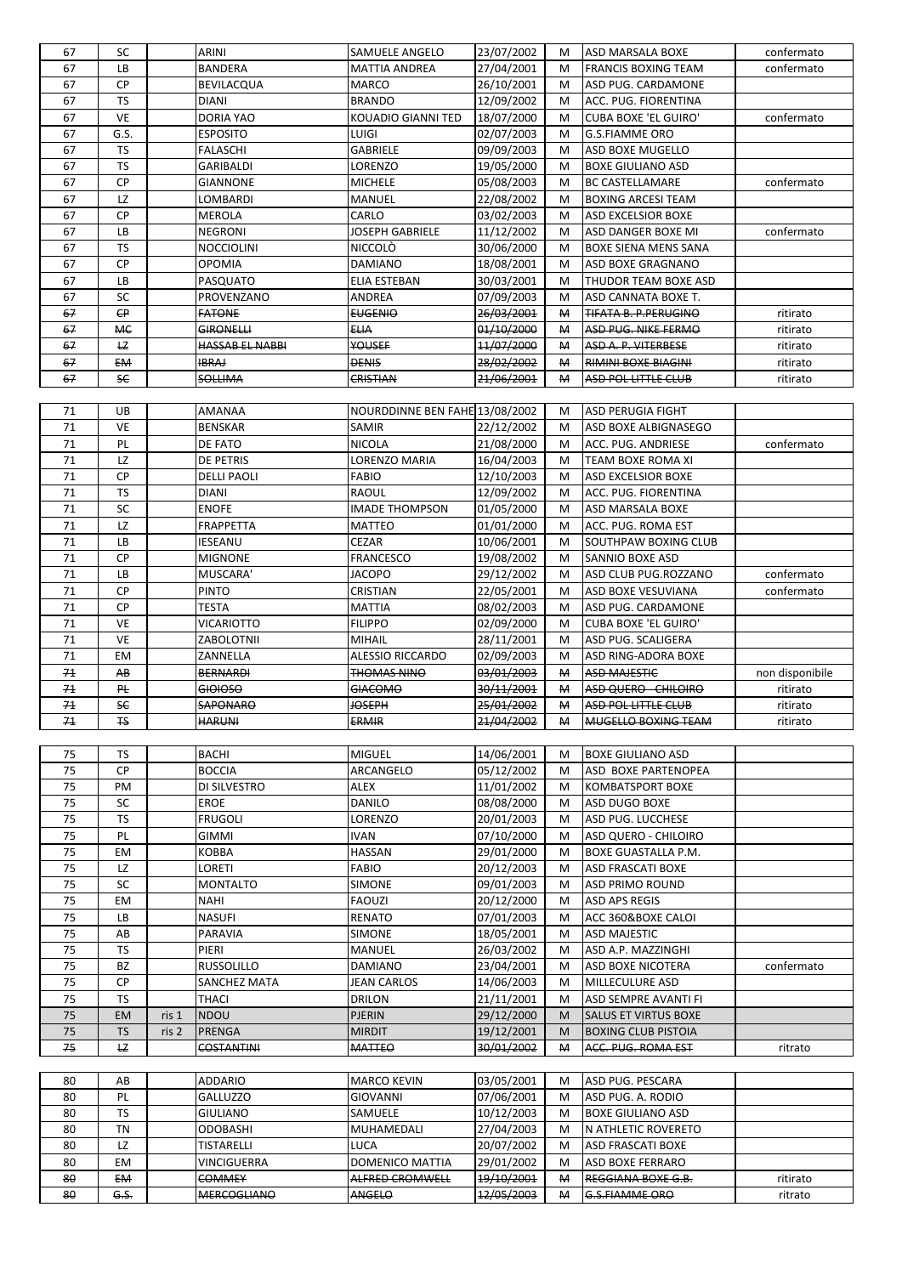| 67             | <b>SC</b>      | <b>ARINI</b>       | <b>SAMUELE ANGELO</b>          | 23/07/2002            | M                      | <b>ASD MARSALA BOXE</b>     | confermato      |
|----------------|----------------|--------------------|--------------------------------|-----------------------|------------------------|-----------------------------|-----------------|
| 67             | <b>LB</b>      | <b>BANDERA</b>     | <b>MATTIA ANDREA</b>           | 27/04/2001            | M                      | <b>FRANCIS BOXING TEAM</b>  | confermato      |
| 67             | CP             | <b>BEVILACQUA</b>  | <b>MARCO</b>                   | 26/10/2001            | M                      | <b>ASD PUG. CARDAMONE</b>   |                 |
| 67             | <b>TS</b>      | <b>DIANI</b>       | <b>BRANDO</b>                  | 12/09/2002            | M                      | ACC. PUG. FIORENTINA        |                 |
| 67             | VE             | <b>DORIA YAO</b>   | KOUADIO GIANNI TED             | 18/07/2000            | M                      | <b>CUBA BOXE 'EL GUIRO'</b> | confermato      |
| 67             | G.S.           | <b>ESPOSITO</b>    | LUIGI                          | 02/07/2003            | M                      | <b>G.S.FIAMME ORO</b>       |                 |
| 67             | <b>TS</b>      | <b>FALASCHI</b>    | <b>GABRIELE</b>                | 09/09/2003            | M                      | <b>ASD BOXE MUGELLO</b>     |                 |
| 67             | <b>TS</b>      | <b>GARIBALDI</b>   | LORENZO                        | 19/05/2000            | M                      | <b>BOXE GIULIANO ASD</b>    |                 |
| 67             | CP             | <b>GIANNONE</b>    | <b>MICHELE</b>                 | 05/08/2003            | M                      | <b>BC CASTELLAMARE</b>      | confermato      |
| 67             | LZ             | LOMBARDI           | <b>MANUEL</b>                  | 22/08/2002            | M                      | <b>BOXING ARCESI TEAM</b>   |                 |
| 67             | CP             | <b>MEROLA</b>      | CARLO                          | 03/02/2003            | M                      | <b>ASD EXCELSIOR BOXE</b>   |                 |
| 67             | LB             | <b>NEGRONI</b>     | <b>JOSEPH GABRIELE</b>         | 11/12/2002            | M                      | ASD DANGER BOXE MI          | confermato      |
| 67             | <b>TS</b>      | <b>NOCCIOLINI</b>  | <b>NICCOLÒ</b>                 | 30/06/2000            | M                      | <b>BOXE SIENA MENS SANA</b> |                 |
| 67             | <b>CP</b>      | <b>OPOMIA</b>      | <b>DAMIANO</b>                 | 18/08/2001            | M                      | ASD BOXE GRAGNANO           |                 |
| 67             | <b>LB</b>      | <b>PASQUATO</b>    | <b>ELIA ESTEBAN</b>            | 30/03/2001            | M                      | <b>THUDOR TEAM BOXE ASD</b> |                 |
| 67             | <b>SC</b>      | PROVENZANO         | <b>ANDREA</b>                  | 07/09/2003            | M                      | ASD CANNATA BOXE T.         |                 |
| 67             | $\epsilon$ P   | <b>FATONE</b>      | <b>EUGENIO</b>                 | <del>26/03/2001</del> | $\mathsf{M}$           | <b>TIFATA B. P.PERUGINO</b> | ritirato        |
| 67             | <b>ME</b>      | <b>GIRONELLI</b>   | <b>ELIA</b>                    | 01/10/2000            | М                      | ASD PUG. NIKE FERMO         | ritirato        |
| 67             | E              | HASSAB EL NABBI    | <b>YOUSEF</b>                  | 11/07/2000            | $\mathsf{H}$           | <b>ASD A. P. VITERBESE</b>  | ritirato        |
| 67             | <b>EM</b>      | <b>IBRAJ</b>       | <b>DENIS</b>                   | 28/02/2002            | $\mathsf{M}$           | <b>RIMINI BOXE BIAGINI</b>  | ritirato        |
| 67             | <b>SC</b>      | <b>SOLLIMA</b>     | CRISTIAN                       | 21/06/2001            | $\mathsf{H}$           | <b>ASD POL LITTLE CLUB</b>  | ritirato        |
|                |                |                    |                                |                       |                        |                             |                 |
| 71             | UB             | <b>AMANAA</b>      | NOURDDINNE BEN FAHE 13/08/2002 |                       | M                      | <b>ASD PERUGIA FIGHT</b>    |                 |
| 71             | <b>VE</b>      | <b>BENSKAR</b>     | <b>SAMIR</b>                   | 22/12/2002            | M                      | <b>ASD BOXE ALBIGNASEGO</b> |                 |
| 71             | PL             | DE FATO            | <b>NICOLA</b>                  | 21/08/2000            | M                      | ACC. PUG. ANDRIESE          | confermato      |
| 71             | LZ             | DE PETRIS          | LORENZO MARIA                  | 16/04/2003            | M                      | <b>TEAM BOXE ROMA XI</b>    |                 |
| 71             | CP             | <b>DELLI PAOLI</b> | <b>FABIO</b>                   | 12/10/2003            | M                      | <b>ASD EXCELSIOR BOXE</b>   |                 |
| 71             | <b>TS</b>      | <b>DIANI</b>       | <b>RAOUL</b>                   | 12/09/2002            | M                      | <b>ACC. PUG. FIORENTINA</b> |                 |
| 71             | <b>SC</b>      | <b>ENOFE</b>       | <b>IMADE THOMPSON</b>          | 01/05/2000            | M                      | ASD MARSALA BOXE            |                 |
| 71             | LZ             | <b>FRAPPETTA</b>   | <b>MATTEO</b>                  | 01/01/2000            | M                      | ACC. PUG. ROMA EST          |                 |
| 71             | LB             | <b>IESEANU</b>     | <b>CEZAR</b>                   | 10/06/2001            | M                      | <b>SOUTHPAW BOXING CLUB</b> |                 |
| 71             | <b>CP</b>      | <b>MIGNONE</b>     | <b>FRANCESCO</b>               | 19/08/2002            | M                      | <b>SANNIO BOXE ASD</b>      |                 |
| 71             | LB.            | MUSCARA'           | <b>JACOPO</b>                  | 29/12/2002            | M                      | ASD CLUB PUG.ROZZANO        | confermato      |
| 71             | CP             | <b>PINTO</b>       | CRISTIAN                       | 22/05/2001            | M                      | <b>ASD BOXE VESUVIANA</b>   | confermato      |
| 71             | CP             | <b>TESTA</b>       | <b>MATTIA</b>                  | 08/02/2003            | M                      | <b>ASD PUG. CARDAMONE</b>   |                 |
| 71             | <b>VE</b>      | <b>VICARIOTTO</b>  | <b>FILIPPO</b>                 | 02/09/2000            | M                      | <b>CUBA BOXE 'EL GUIRO'</b> |                 |
| 71             | <b>VE</b>      | <b>ZABOLOTNII</b>  | <b>MIHAIL</b>                  | 28/11/2001            | M                      | <b>ASD PUG. SCALIGERA</b>   |                 |
| 71             | EM             | ZANNELLA           | <b>ALESSIO RICCARDO</b>        | 02/09/2003            | M                      | ASD RING-ADORA BOXE         |                 |
| 71             | AB             | <b>BERNARDI</b>    | <b>THOMAS NINO</b>             | 03/01/2003            | $\mathsf{H}\mathsf{H}$ | <b>ASD MAJESTIC</b>         | non disponibile |
| 7 <sup>4</sup> | P <sub>t</sub> | <b>GIOIOSO</b>     | <b>GIACOMO</b>                 | 30/11/2001            | $\mathsf{M}$           | <b>ASD QUERO - CHILOIRO</b> | ritirato        |
| 74             | <b>SC</b>      | <b>SAPONARO</b>    | <b>JOSEPH</b>                  | 25/01/2002            | $\mathsf{H}$           | <b>ASD POL LITTLE CLUB</b>  | ritirato        |
| 71             | F <sub>S</sub> | <b>HARUNI</b>      | <b>ERMIR</b>                   | 21/04/2002            | М                      | MUGELLO BOXING TEAM         | ritirato        |
|                |                |                    |                                |                       |                        |                             |                 |
| 75             | <b>TS</b>      | <b>BACHI</b>       | <b>MIGUEL</b>                  | 14/06/2001            | M                      | <b>BOXE GIULIANO ASD</b>    |                 |
| 75             | <b>CP</b>      | <b>BOCCIA</b>      | ARCANGELO                      | 05/12/2002            | M                      | <b>ASD BOXE PARTENOPEA</b>  |                 |
| 75             | PM             | DI SILVESTRO       | <b>ALEX</b>                    | 11/01/2002            | M                      | <b>KOMBATSPORT BOXE</b>     |                 |
| 75             | <b>SC</b>      | <b>EROE</b>        | <b>DANILO</b>                  | 08/08/2000            | M                      | <b>ASD DUGO BOXE</b>        |                 |
| 75             | <b>TS</b>      | <b>FRUGOLI</b>     | LORENZO                        | 20/01/2003            | M                      | <b>ASD PUG. LUCCHESE</b>    |                 |
| 75             | PL             | <b>GIMMI</b>       | <b>IVAN</b>                    | 07/10/2000            | M                      | <b>ASD QUERO - CHILOIRO</b> |                 |
| 75             | EM             | <b>KOBBA</b>       | <b>HASSAN</b>                  | 29/01/2000            | M                      | <b>BOXE GUASTALLA P.M.</b>  |                 |
| 75             | LZ             | LORETI             | <b>FABIO</b>                   | 20/12/2003            | M                      | <b>ASD FRASCATI BOXE</b>    |                 |
| 75             | <b>SC</b>      | <b>MONTALTO</b>    | <b>SIMONE</b>                  | 09/01/2003            | M                      | <b>ASD PRIMO ROUND</b>      |                 |
| 75             | EM             | <b>NAHI</b>        | <b>FAOUZI</b>                  | 20/12/2000            | M                      | <b>ASD APS REGIS</b>        |                 |
| 75             | LB             | <b>NASUFI</b>      | <b>RENATO</b>                  | 07/01/2003            | M                      | ACC 360&BOXE CALOI          |                 |
| 75             | AB             | PARAVIA            | <b>SIMONE</b>                  | 18/05/2001            | M                      | <b>ASD MAJESTIC</b>         |                 |
| 75             | <b>TS</b>      | PIERI              | <b>MANUEL</b>                  | 26/03/2002            | M                      | ASD A.P. MAZZINGHI          |                 |

| ᄀᄃ | <b>BZ</b> |       | <b>RUSSOLILLO</b> | <b>DAMIANO</b> | 23/04/2001 | M            | <b>ASD BOXE NICOTERA</b>     | confermato |
|----|-----------|-------|-------------------|----------------|------------|--------------|------------------------------|------------|
|    | rр        |       | ISANCHEZ MATA     | JEAN CARLOS    | 14/06/2003 | M            | <b>IMILLECULURE ASD</b>      |            |
|    |           |       | <b>THACI</b>      | <b>IDRILON</b> | 21/11/2001 | M            | IASD SEMPRE AVANTI FI        |            |
|    | EM        | ris 1 | <b>INDOU</b>      | <b>IPJERIN</b> | 29/12/2000 | M            | <b>ISALUS ET VIRTUS BOXE</b> |            |
|    |           | ris 2 | <b>IPRENGA</b>    | <b>MIRDIT</b>  | 19/12/2001 | M            | <b>BOXING CLUB PISTOIA</b>   |            |
| 75 | LZ.       |       | <b>COSTANTINI</b> | <b>MATTEO</b>  | 30/01/2002 | $\mathsf{M}$ | <b>ACC. PUG. ROMA EST</b>    | ritrato    |

| 80 | AB              | <b>ADDARIO</b>      | IMARCO KEVIN           | 03/05/2001 | M            | <b>JASD PUG. PESCARA</b>  |          |
|----|-----------------|---------------------|------------------------|------------|--------------|---------------------------|----------|
| 80 | <b>PL</b>       | <b>IGALLUZZO</b>    | <b>IGIOVANNI</b>       | 07/06/2001 | M            | ASD PUG. A. RODIO         |          |
| 80 | TS              | <b>GIULIANO</b>     | <b>SAMUELE</b>         | 10/12/2003 | M            | <b>BOXE GIULIANO ASD</b>  |          |
| 80 | <b>TN</b>       | <b>ODOBASHI</b>     | IMUHAMEDALI            | 27/04/2003 | M            | IN ATHLETIC ROVERETO      |          |
| 80 | LZ              | <b>TISTARELLI</b>   | LUCA                   | 20/07/2002 | M            | <b>JASD FRASCATI BOXE</b> |          |
| 80 | EM              | <b>IVINCIGUERRA</b> | IDOMENICO MATTIA       | 29/01/2002 | M            | <b>JASD BOXE FERRARO</b>  |          |
| 80 | EM-             | <b>COMMEY</b>       | <b>ALFRED CROMWELL</b> | 19/10/2001 | ₩            | <b>REGGIANA BOXE G.B.</b> | ritirato |
| 80 | <del>G.S.</del> | <b>MERCOGLIANO</b>  | <b>ANGELO</b>          | 12/05/2003 | $\mathsf{M}$ | <b>G.S.FIAMME ORO</b>     | ritrato  |